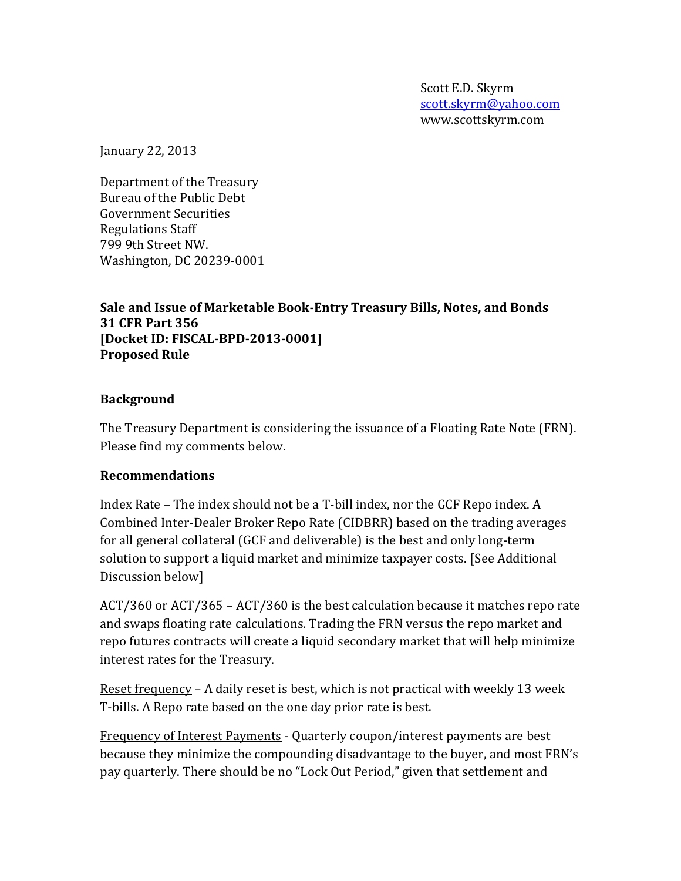Scott E.D. Skyrm [scott.skyrm@yahoo.com](mailto:scott.skyrm@yahoo.com) www.scottskyrm.com

January 22, 2013

Department of the Treasury Bureau of the Public Debt Government Securities Regulations Staff 799 9th Street NW. Washington, DC 20239-0001

### **Sale and Issue of Marketable Book-Entry Treasury Bills, Notes, and Bonds 31 CFR Part 356 [Docket ID: FISCAL-BPD-2013-0001] Proposed Rule**

### **Background**

The Treasury Department is considering the issuance of a Floating Rate Note (FRN). Please find my comments below.

### **Recommendations**

Index Rate – The index should not be a T-bill index, nor the GCF Repo index. A Combined Inter-Dealer Broker Repo Rate (CIDBRR) based on the trading averages for all general collateral (GCF and deliverable) is the best and only long-term solution to support a liquid market and minimize taxpayer costs. [See Additional Discussion below]

ACT/360 or ACT/365 – ACT/360 is the best calculation because it matches repo rate and swaps floating rate calculations. Trading the FRN versus the repo market and repo futures contracts will create a liquid secondary market that will help minimize interest rates for the Treasury.

Reset frequency – A daily reset is best, which is not practical with weekly 13 week T-bills. A Repo rate based on the one day prior rate is best.

Frequency of Interest Payments - Quarterly coupon/interest payments are best because they minimize the compounding disadvantage to the buyer, and most FRN's pay quarterly. There should be no "Lock Out Period," given that settlement and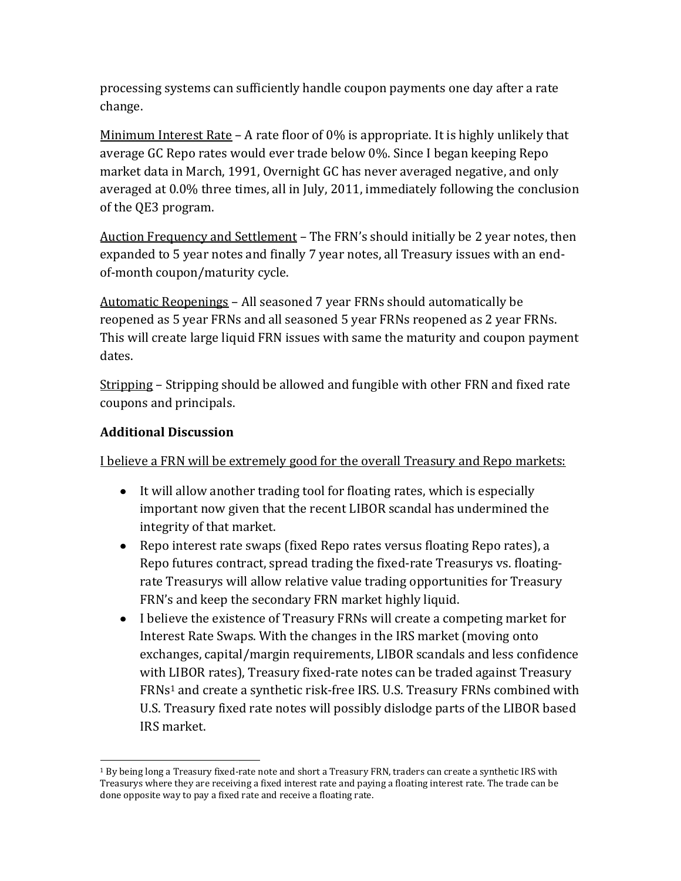processing systems can sufficiently handle coupon payments one day after a rate change.

Minimum Interest Rate – A rate floor of 0% is appropriate. It is highly unlikely that average GC Repo rates would ever trade below 0%. Since I began keeping Repo market data in March, 1991, Overnight GC has never averaged negative, and only averaged at 0.0% three times, all in July, 2011, immediately following the conclusion of the QE3 program.

Auction Frequency and Settlement – The FRN's should initially be 2 year notes, then expanded to 5 year notes and finally 7 year notes, all Treasury issues with an endof-month coupon/maturity cycle.

Automatic Reopenings – All seasoned 7 year FRNs should automatically be reopened as 5 year FRNs and all seasoned 5 year FRNs reopened as 2 year FRNs. This will create large liquid FRN issues with same the maturity and coupon payment dates.

Stripping – Stripping should be allowed and fungible with other FRN and fixed rate coupons and principals.

## **Additional Discussion**

I believe a FRN will be extremely good for the overall Treasury and Repo markets:

- It will allow another trading tool for floating rates, which is especially important now given that the recent LIBOR scandal has undermined the integrity of that market.
- Repo interest rate swaps (fixed Repo rates versus floating Repo rates), a Repo futures contract, spread trading the fixed-rate Treasurys vs. floatingrate Treasurys will allow relative value trading opportunities for Treasury FRN's and keep the secondary FRN market highly liquid.
- I believe the existence of Treasury FRNs will create a competing market for Interest Rate Swaps. With the changes in the IRS market (moving onto exchanges, capital/margin requirements, LIBOR scandals and less confidence with LIBOR rates), Treasury fixed-rate notes can be traded against Treasury FRNs<sup>1</sup> and create a synthetic risk-free IRS. U.S. Treasury FRNs combined with U.S. Treasury fixed rate notes will possibly dislodge parts of the LIBOR based IRS market.

l <sup>1</sup> By being long a Treasury fixed-rate note and short a Treasury FRN, traders can create a synthetic IRS with Treasurys where they are receiving a fixed interest rate and paying a floating interest rate. The trade can be done opposite way to pay a fixed rate and receive a floating rate.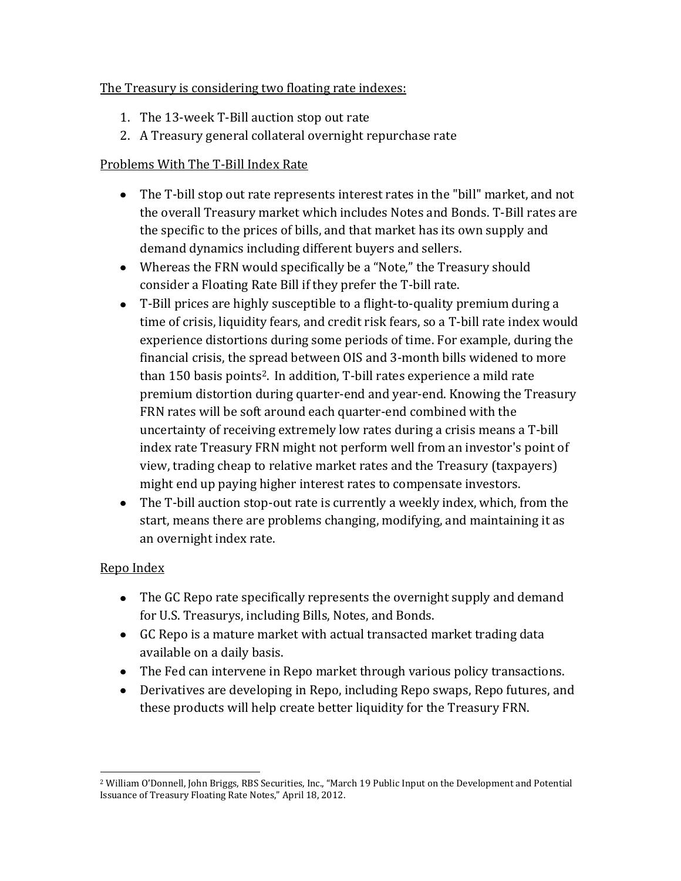## The Treasury is considering two floating rate indexes:

- 1. The 13-week T-Bill auction stop out rate
- 2. A Treasury general collateral overnight repurchase rate

# Problems With The T-Bill Index Rate

- The T-bill stop out rate represents interest rates in the "bill" market, and not the overall Treasury market which includes Notes and Bonds. T-Bill rates are the specific to the prices of bills, and that market has its own supply and demand dynamics including different buyers and sellers.
- Whereas the FRN would specifically be a "Note," the Treasury should consider a Floating Rate Bill if they prefer the T-bill rate.
- T-Bill prices are highly susceptible to a flight-to-quality premium during a time of crisis, liquidity fears, and credit risk fears, so a T-bill rate index would experience distortions during some periods of time. For example, during the financial crisis, the spread between OIS and 3-month bills widened to more than 150 basis points2. In addition, T-bill rates experience a mild rate premium distortion during quarter-end and year-end. Knowing the Treasury FRN rates will be soft around each quarter-end combined with the uncertainty of receiving extremely low rates during a crisis means a T-bill index rate Treasury FRN might not perform well from an investor's point of view, trading cheap to relative market rates and the Treasury (taxpayers) might end up paying higher interest rates to compensate investors.
- The T-bill auction stop-out rate is currently a weekly index, which, from the start, means there are problems changing, modifying, and maintaining it as an overnight index rate.

# Repo Index

- The GC Repo rate specifically represents the overnight supply and demand for U.S. Treasurys, including Bills, Notes, and Bonds.
- GC Repo is a mature market with actual transacted market trading data available on a daily basis.
- The Fed can intervene in Repo market through various policy transactions.
- Derivatives are developing in Repo, including Repo swaps, Repo futures, and these products will help create better liquidity for the Treasury FRN.

l <sup>2</sup> William O'Donnell, John Briggs, RBS Securities, Inc., "March 19 Public Input on the Development and Potential Issuance of Treasury Floating Rate Notes," April 18, 2012.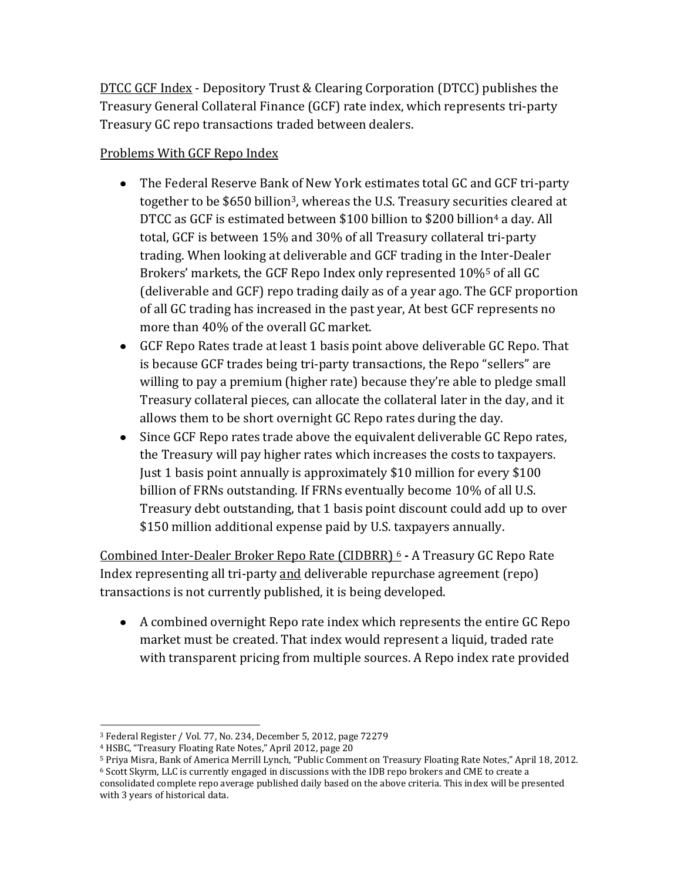DTCC GCF Index - Depository Trust & Clearing Corporation (DTCC) publishes the Treasury General Collateral Finance (GCF) rate index, which represents tri-party Treasury GC repo transactions traded between dealers.

## Problems With GCF Repo Index

- The Federal Reserve Bank of New York estimates total GC and GCF tri-party together to be \$650 billion3, whereas the U.S. Treasury securities cleared at DTCC as GCF is estimated between \$100 billion to \$200 billion<sup>4</sup> a day. All total, GCF is between 15% and 30% of all Treasury collateral tri-party trading. When looking at deliverable and GCF trading in the Inter-Dealer Brokers' markets, the GCF Repo Index only represented 10%<sup>5</sup> of all GC (deliverable and GCF) repo trading daily as of a year ago. The GCF proportion of all GC trading has increased in the past year, At best GCF represents no more than 40% of the overall GC market.
- GCF Repo Rates trade at least 1 basis point above deliverable GC Repo. That is because GCF trades being tri-party transactions, the Repo "sellers" are willing to pay a premium (higher rate) because they're able to pledge small Treasury collateral pieces, can allocate the collateral later in the day, and it allows them to be short overnight GC Repo rates during the day.
- Since GCF Repo rates trade above the equivalent deliverable GC Repo rates, the Treasury will pay higher rates which increases the costs to taxpayers. Just 1 basis point annually is approximately \$10 million for every \$100 billion of FRNs outstanding. If FRNs eventually become 10% of all U.S. Treasury debt outstanding, that 1 basis point discount could add up to over \$150 million additional expense paid by U.S. taxpayers annually.

Combined Inter-Dealer Broker Repo Rate (CIDBRR) <sup>6</sup> **-** A Treasury GC Repo Rate Index representing all tri-party and deliverable repurchase agreement (repo) transactions is not currently published, it is being developed.

A combined overnight Repo rate index which represents the entire GC Repo market must be created. That index would represent a liquid, traded rate with transparent pricing from multiple sources. A Repo index rate provided

with 3 years of historical data.

 <sup>3</sup> Federal Register / Vol. 77, No. 234, December 5, 2012, page 72279

<sup>4</sup> HSBC, "Treasury Floating Rate Notes," April 2012, page 20

<sup>5</sup> Priya Misra, Bank of America Merrill Lynch, "Public Comment on Treasury Floating Rate Notes," April 18, 2012. <sup>6</sup> Scott Skyrm, LLC is currently engaged in discussions with the IDB repo brokers and CME to create a consolidated complete repo average published daily based on the above criteria. This index will be presented